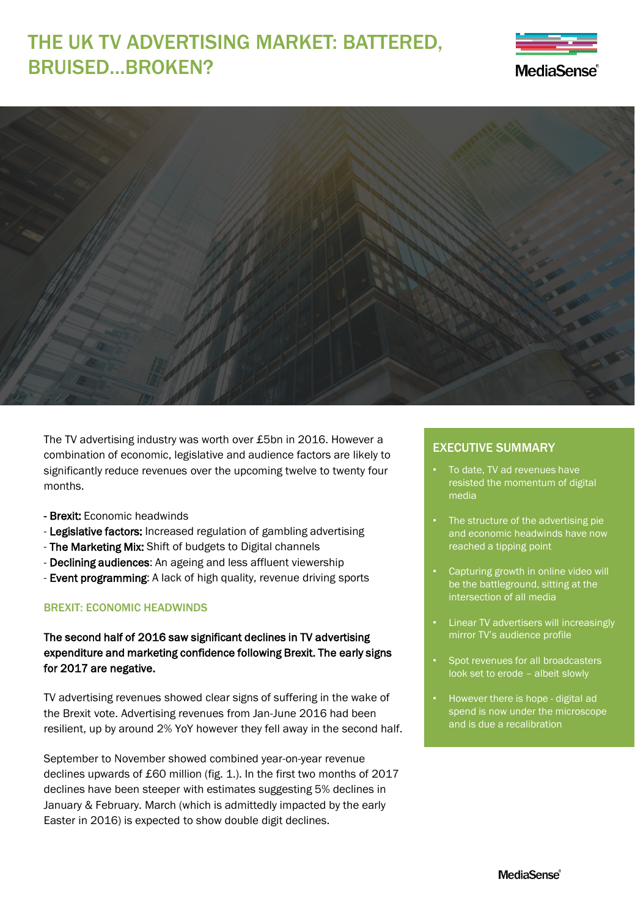# THE UK TV ADVERTISING MARKET: BATTERED, BRUISED…BROKEN?





The TV advertising industry was worth over £5bn in 2016. However a combination of economic, legislative and audience factors are likely to significantly reduce revenues over the upcoming twelve to twenty four months.

- Brexit: Economic headwinds
- Legislative factors: Increased regulation of gambling advertising
- The Marketing Mix: Shift of budgets to Digital channels
- Declining audiences: An ageing and less affluent viewership
- Event programming: A lack of high quality, revenue driving sports

### BREXIT: ECONOMIC HEADWINDS

## The second half of 2016 saw significant declines in TV advertising expenditure and marketing confidence following Brexit. The early signs for 2017 are negative.

TV advertising revenues showed clear signs of suffering in the wake of the Brexit vote. Advertising revenues from Jan-June 2016 had been resilient, up by around 2% YoY however they fell away in the second half.

September to November showed combined year-on-year revenue declines upwards of £60 million (fig. 1.). In the first two months of 2017 declines have been steeper with estimates suggesting 5% declines in January & February. March (which is admittedly impacted by the early Easter in 2016) is expected to show double digit declines.

#### EXECUTIVE SUMMARY

- To date, TV ad revenues have resisted the momentum of digital media
- The structure of the advertising pie and economic headwinds have now reached a tipping point
- Capturing growth in online video will be the battleground, sitting at the intersection of all media
- Linear TV advertisers will increasingly mirror TV's audience profile
- Spot revenues for all broadcasters look set to erode – albeit slowly
- However there is hope digital ad spend is now under the microscope and is due a recalibration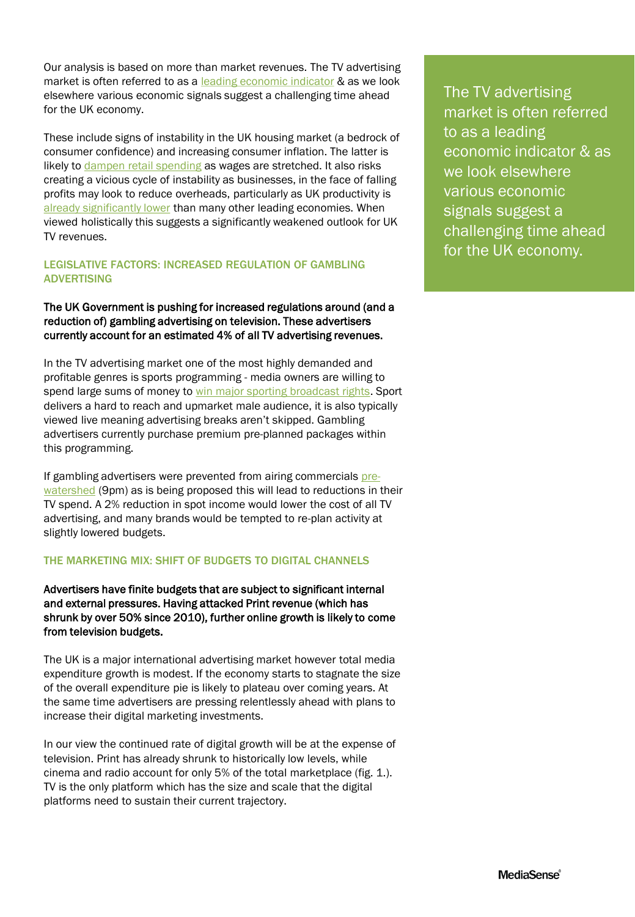Our analysis is based on more than market revenues. The TV advertising market is often referred to as a [leading economic indicator](https://www.ft.com/content/570360c8-f667-11e0-86dc-00144feab49a) & as we look elsewhere various economic signals suggest a challenging time ahead for the UK economy.

These include signs of instability in the UK housing market (a bedrock of consumer confidence) and increasing consumer inflation. The latter is likely to [dampen retail spending](https://www.theguardian.com/business/2017/feb/19/is-this-the-end-of-uks-retail-boom) as wages are stretched. It also risks creating a vicious cycle of instability as businesses, in the face of falling profits may look to reduce overheads, particularly as UK productivity is [already significantly lower](https://www.ft.com/content/ac05863e-e304-11e6-9645-c9357a75844a) than many other leading economies. When viewed holistically this suggests a significantly weakened outlook for UK TV revenues.

#### LEGISLATIVE FACTORS: INCREASED REGULATION OF GAMBLING ADVERTISING

#### The UK Government is pushing for increased regulations around (and a reduction of) gambling advertising on television. These advertisers currently account for an estimated 4% of all TV advertising revenues.

In the TV advertising market one of the most highly demanded and profitable genres is sports programming - media owners are willing to spend large sums of money to [win major sporting broadcast rights](http://www.sportspromedia.com/news/itv-retains-rugby-world-cup-rights-in-uk). Sport delivers a hard to reach and upmarket male audience, it is also typically viewed live meaning advertising breaks aren't skipped. Gambling advertisers currently purchase premium pre-planned packages within this programming.

If gambling advertisers were prevented from airing commercials pre-watershed [\(9pm\) as is being proposed this will lead to reductions in t](http://www.telegraph.co.uk/news/2016/10/07/daytime-gambling-adverts-could-be-banned-from-social-media-and-t/)heir TV spend. A 2% reduction in spot income would lower the cost of all TV advertising, and many brands would be tempted to re-plan activity at slightly lowered budgets.

### THE MARKETING MIX: SHIFT OF BUDGETS TO DIGITAL CHANNELS

Advertisers have finite budgets that are subject to significant internal and external pressures. Having attacked Print revenue (which has shrunk by over 50% since 2010), further online growth is likely to come from television budgets.

The UK is a major international advertising market however total media expenditure growth is modest. If the economy starts to stagnate the size of the overall expenditure pie is likely to plateau over coming years. At the same time advertisers are pressing relentlessly ahead with plans to increase their digital marketing investments.

In our view the continued rate of digital growth will be at the expense of television. Print has already shrunk to historically low levels, while cinema and radio account for only 5% of the total marketplace (fig. 1.). TV is the only platform which has the size and scale that the digital platforms need to sustain their current trajectory.

The TV advertising market is often referred to as a leading economic indicator & as we look elsewhere various economic signals suggest a challenging time ahead for the UK economy.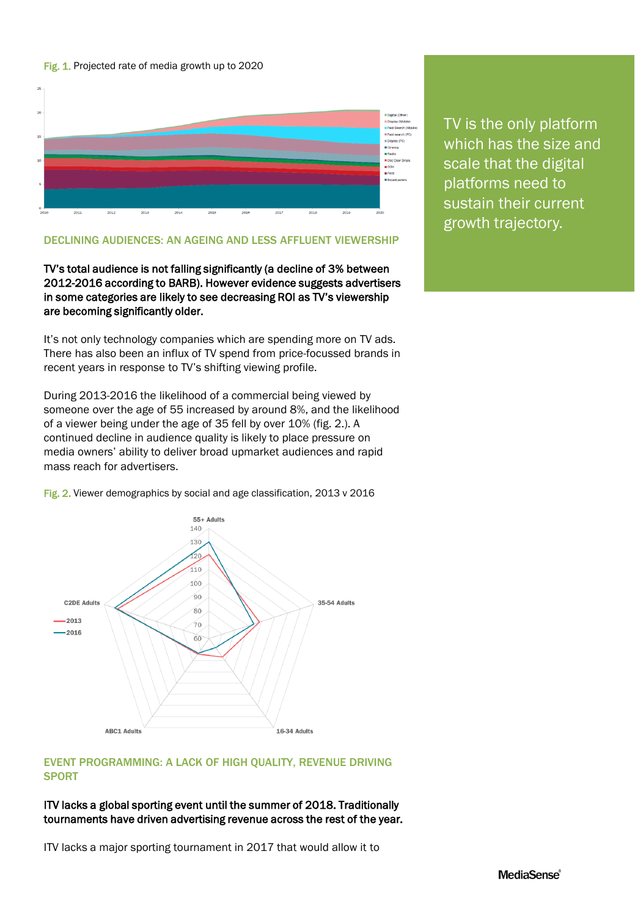#### Fig. 1. Projected rate of media growth up to 2020



#### DECLINING AUDIENCES: AN AGEING AND LESS AFFLUENT VIEWERSHIP

TV's total audience is not falling significantly (a decline of 3% between 2012-2016 according to BARB). However evidence suggests advertisers in some categories are likely to see decreasing ROI as TV's viewership are becoming significantly older.

It's not only technology companies which are spending more on TV ads. There has also been an influx of TV spend from price-focussed brands in recent years in response to TV's shifting viewing profile.

During 2013-2016 the likelihood of a commercial being viewed by someone over the age of 55 increased by around 8%, and the likelihood of a viewer being under the age of 35 fell by over 10% (fig. 2.). A continued decline in audience quality is likely to place pressure on media owners' ability to deliver broad upmarket audiences and rapid mass reach for advertisers.



Fig. 2. Viewer demographics by social and age classification, 2013 v 2016

### EVENT PROGRAMMING: A LACK OF HIGH QUALITY, REVENUE DRIVING **SPORT**

#### ITV lacks a global sporting event until the summer of 2018. Traditionally tournaments have driven advertising revenue across the rest of the year.

ITV lacks a major sporting tournament in 2017 that would allow it to

TV is the only platform which has the size and scale that the digital platforms need to sustain their current growth trajectory.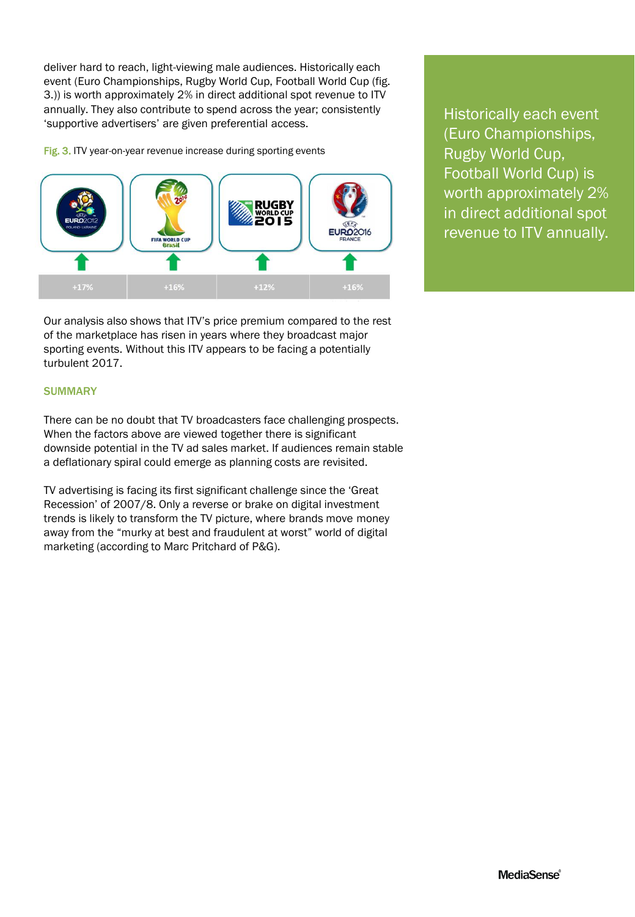deliver hard to reach, light-viewing male audiences. Historically each event (Euro Championships, Rugby World Cup, Football World Cup (fig. 3.)) is worth approximately 2% in direct additional spot revenue to ITV annually. They also contribute to spend across the year; consistently 'supportive advertisers' are given preferential access.

Fig. 3. ITV year-on-year revenue increase during sporting events



Our analysis also shows that ITV's price premium compared to the rest of the marketplace has risen in years where they broadcast major sporting events. Without this ITV appears to be facing a potentially turbulent 2017.

**SUMMARY** 

There can be no doubt that TV broadcasters face challenging prospects. When the factors above are viewed together there is significant downside potential in the TV ad sales market. If audiences remain stable a deflationary spiral could emerge as planning costs are revisited.

TV advertising is facing its first significant challenge since the 'Great Recession' of 2007/8. Only a reverse or brake on digital investment trends is likely to transform the TV picture, where brands move money away from the "murky at best and fraudulent at worst" world of digital marketing (according to Marc Pritchard of P&G).

Historically each event (Euro Championships, Rugby World Cup, Football World Cup) is worth approximately 2% in direct additional spot revenue to ITV annually.